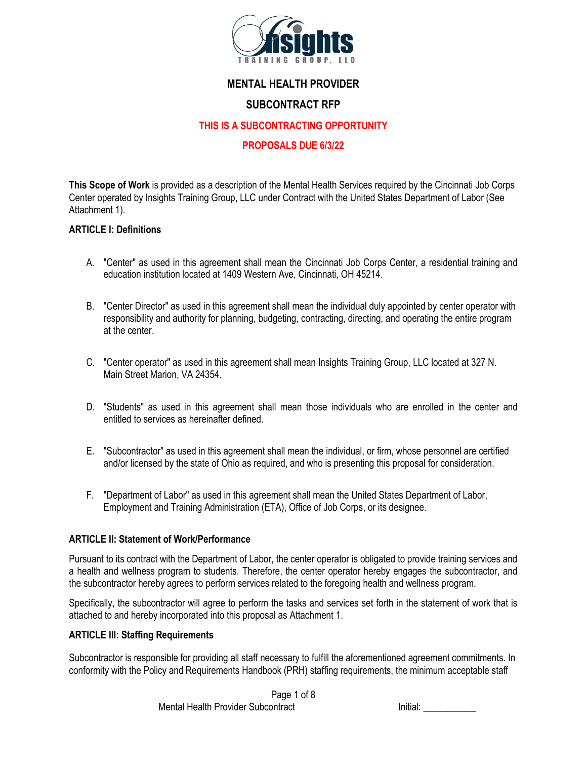

# **MENTAL HEALTH PROVIDER**

# **SUBCONTRACT RFP**

#### **THIS IS A SUBCONTRACTING OPPORTUNITY**

#### **PROPOSALS DUE 6/3/22**

**This Scope of Work** is provided as a description of the Mental Health Services required by the Cincinnati Job Corps Center operated by Insights Training Group, LLC under Contract with the United States Department of Labor (See Attachment 1).

#### **ARTICLE I: Definitions**

- A. "Center" as used in this agreement shall mean the Cincinnati Job Corps Center, a residential training and education institution located at 1409 Western Ave, Cincinnati, OH 45214.
- B. "Center Director" as used in this agreement shall mean the individual duly appointed by center operator with responsibility and authority for planning, budgeting, contracting, directing, and operating the entire program at the center.
- C. "Center operator" as used in this agreement shall mean Insights Training Group, LLC located at 327 N. Main Street Marion, VA 24354.
- D. "Students" as used in this agreement shall mean those individuals who are enrolled in the center and entitled to services as hereinafter defined.
- E. "Subcontractor" as used in this agreement shall mean the individual, or firm, whose personnel are certified and/or licensed by the state of Ohio as required, and who is presenting this proposal for consideration.
- F. "Department of Labor" as used in this agreement shall mean the United States Department of Labor, Employment and Training Administration (ETA), Office of Job Corps, or its designee.

#### **ARTICLE II: Statement of Work/Performance**

Pursuant to its contract with the Department of Labor, the center operator is obligated to provide training services and a health and wellness program to students. Therefore, the center operator hereby engages the subcontractor, and the subcontractor hereby agrees to perform services related to the foregoing health and wellness program.

Specifically, the subcontractor will agree to perform the tasks and services set forth in the statement of work that is attached to and hereby incorporated into this proposal as Attachment 1.

#### **ARTICLE III: Staffing Requirements**

Subcontractor is responsible for providing all staff necessary to fulfill the aforementioned agreement commitments. In conformity with the Policy and Requirements Handbook (PRH) staffing requirements, the minimum acceptable staff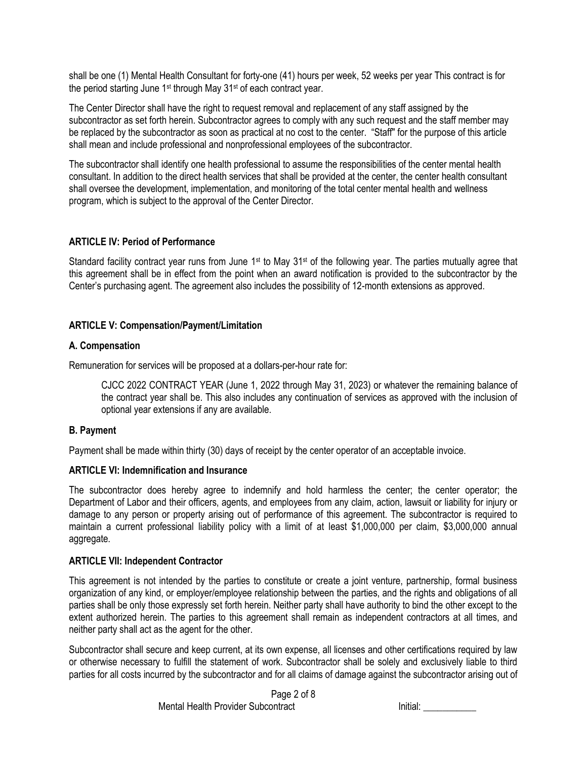shall be one (1) Mental Health Consultant for forty-one (41) hours per week, 52 weeks per year This contract is for the period starting June 1st through May 31st of each contract year.

The Center Director shall have the right to request removal and replacement of any staff assigned by the subcontractor as set forth herein. Subcontractor agrees to comply with any such request and the staff member may be replaced by the subcontractor as soon as practical at no cost to the center. "Staff" for the purpose of this article shall mean and include professional and nonprofessional employees of the subcontractor.

The subcontractor shall identify one health professional to assume the responsibilities of the center mental health consultant. In addition to the direct health services that shall be provided at the center, the center health consultant shall oversee the development, implementation, and monitoring of the total center mental health and wellness program, which is subject to the approval of the Center Director.

## **ARTICLE IV: Period of Performance**

Standard facility contract year runs from June 1<sup>st</sup> to May  $31st$  of the following year. The parties mutually agree that this agreement shall be in effect from the point when an award notification is provided to the subcontractor by the Center's purchasing agent. The agreement also includes the possibility of 12-month extensions as approved.

## **ARTICLE V: Compensation/Payment/Limitation**

## **A. Compensation**

Remuneration for services will be proposed at a dollars-per-hour rate for:

CJCC 2022 CONTRACT YEAR (June 1, 2022 through May 31, 2023) or whatever the remaining balance of the contract year shall be. This also includes any continuation of services as approved with the inclusion of optional year extensions if any are available.

## **B. Payment**

Payment shall be made within thirty (30) days of receipt by the center operator of an acceptable invoice.

## **ARTICLE VI: Indemnification and Insurance**

The subcontractor does hereby agree to indemnify and hold harmless the center; the center operator; the Department of Labor and their officers, agents, and employees from any claim, action, lawsuit or liability for injury or damage to any person or property arising out of performance of this agreement. The subcontractor is required to maintain a current professional liability policy with a limit of at least \$1,000,000 per claim, \$3,000,000 annual aggregate.

## **ARTICLE VII: Independent Contractor**

This agreement is not intended by the parties to constitute or create a joint venture, partnership, formal business organization of any kind, or employer/employee relationship between the parties, and the rights and obligations of all parties shall be only those expressly set forth herein. Neither party shall have authority to bind the other except to the extent authorized herein. The parties to this agreement shall remain as independent contractors at all times, and neither party shall act as the agent for the other.

Subcontractor shall secure and keep current, at its own expense, all licenses and other certifications required by law or otherwise necessary to fulfill the statement of work. Subcontractor shall be solely and exclusively liable to third parties for all costs incurred by the subcontractor and for all claims of damage against the subcontractor arising out of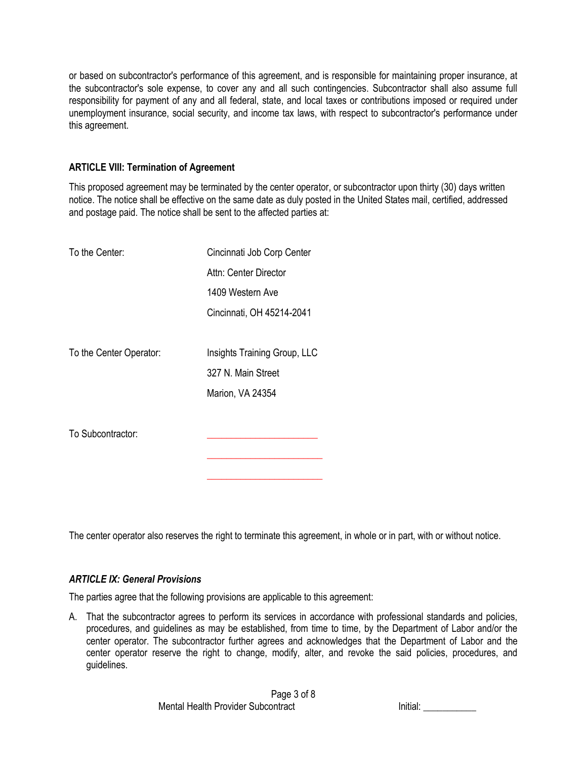or based on subcontractor's performance of this agreement, and is responsible for maintaining proper insurance, at the subcontractor's sole expense, to cover any and all such contingencies. Subcontractor shall also assume full responsibility for payment of any and all federal, state, and local taxes or contributions imposed or required under unemployment insurance, social security, and income tax laws, with respect to subcontractor's performance under this agreement.

## **ARTICLE VIII: Termination of Agreement**

This proposed agreement may be terminated by the center operator, or subcontractor upon thirty (30) days written notice. The notice shall be effective on the same date as duly posted in the United States mail, certified, addressed and postage paid. The notice shall be sent to the affected parties at:

| To the Center:          | Cincinnati Job Corp Center   |
|-------------------------|------------------------------|
|                         | Attn: Center Director        |
|                         | 1409 Western Ave             |
|                         | Cincinnati, OH 45214-2041    |
|                         |                              |
| To the Center Operator: | Insights Training Group, LLC |
|                         | 327 N. Main Street           |
|                         | Marion, VA 24354             |
|                         |                              |
| To Subcontractor:       |                              |
|                         |                              |
|                         |                              |

The center operator also reserves the right to terminate this agreement, in whole or in part, with or without notice.

## *ARTICLE IX: General Provisions*

The parties agree that the following provisions are applicable to this agreement:

A. That the subcontractor agrees to perform its services in accordance with professional standards and policies, procedures, and guidelines as may be established, from time to time, by the Department of Labor and/or the center operator. The subcontractor further agrees and acknowledges that the Department of Labor and the center operator reserve the right to change, modify, alter, and revoke the said policies, procedures, and guidelines.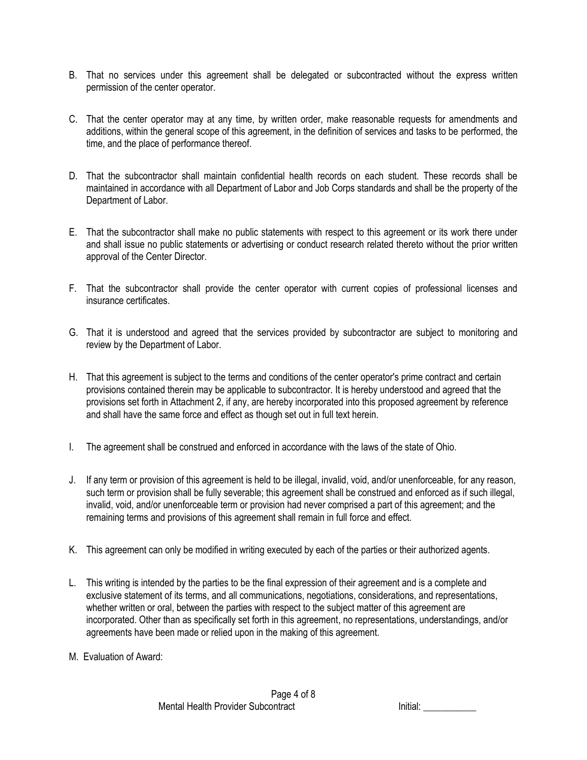- B. That no services under this agreement shall be delegated or subcontracted without the express written permission of the center operator.
- C. That the center operator may at any time, by written order, make reasonable requests for amendments and additions, within the general scope of this agreement, in the definition of services and tasks to be performed, the time, and the place of performance thereof.
- D. That the subcontractor shall maintain confidential health records on each student. These records shall be maintained in accordance with all Department of Labor and Job Corps standards and shall be the property of the Department of Labor.
- E. That the subcontractor shall make no public statements with respect to this agreement or its work there under and shall issue no public statements or advertising or conduct research related thereto without the prior written approval of the Center Director.
- F. That the subcontractor shall provide the center operator with current copies of professional licenses and insurance certificates.
- G. That it is understood and agreed that the services provided by subcontractor are subject to monitoring and review by the Department of Labor.
- H. That this agreement is subject to the terms and conditions of the center operator's prime contract and certain provisions contained therein may be applicable to subcontractor. It is hereby understood and agreed that the provisions set forth in Attachment 2, if any, are hereby incorporated into this proposed agreement by reference and shall have the same force and effect as though set out in full text herein.
- I. The agreement shall be construed and enforced in accordance with the laws of the state of Ohio.
- J. If any term or provision of this agreement is held to be illegal, invalid, void, and/or unenforceable, for any reason, such term or provision shall be fully severable; this agreement shall be construed and enforced as if such illegal, invalid, void, and/or unenforceable term or provision had never comprised a part of this agreement; and the remaining terms and provisions of this agreement shall remain in full force and effect.
- K. This agreement can only be modified in writing executed by each of the parties or their authorized agents.
- L. This writing is intended by the parties to be the final expression of their agreement and is a complete and exclusive statement of its terms, and all communications, negotiations, considerations, and representations, whether written or oral, between the parties with respect to the subject matter of this agreement are incorporated. Other than as specifically set forth in this agreement, no representations, understandings, and/or agreements have been made or relied upon in the making of this agreement.
- M. Evaluation of Award: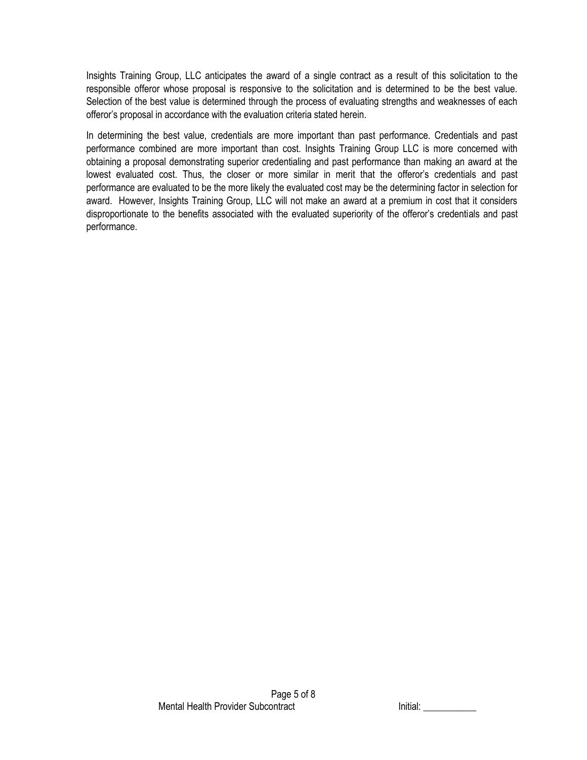Insights Training Group, LLC anticipates the award of a single contract as a result of this solicitation to the responsible offeror whose proposal is responsive to the solicitation and is determined to be the best value. Selection of the best value is determined through the process of evaluating strengths and weaknesses of each offeror's proposal in accordance with the evaluation criteria stated herein.

In determining the best value, credentials are more important than past performance. Credentials and past performance combined are more important than cost. Insights Training Group LLC is more concerned with obtaining a proposal demonstrating superior credentialing and past performance than making an award at the lowest evaluated cost. Thus, the closer or more similar in merit that the offeror's credentials and past performance are evaluated to be the more likely the evaluated cost may be the determining factor in selection for award. However, Insights Training Group, LLC will not make an award at a premium in cost that it considers disproportionate to the benefits associated with the evaluated superiority of the offeror's credentials and past performance.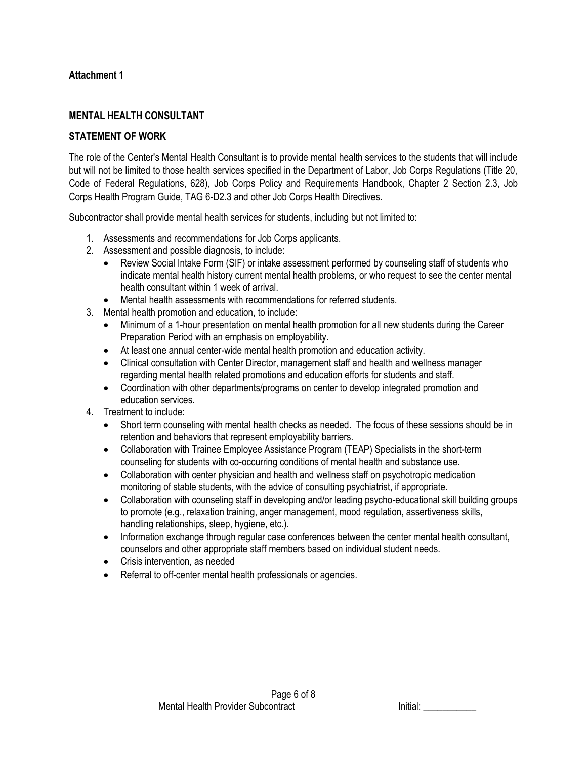## **Attachment 1**

## **MENTAL HEALTH CONSULTANT**

#### **STATEMENT OF WORK**

The role of the Center's Mental Health Consultant is to provide mental health services to the students that will include but will not be limited to those health services specified in the Department of Labor, Job Corps Regulations (Title 20, Code of Federal Regulations, 628), Job Corps Policy and Requirements Handbook, Chapter 2 Section 2.3, Job Corps Health Program Guide, TAG 6-D2.3 and other Job Corps Health Directives.

Subcontractor shall provide mental health services for students, including but not limited to:

- 1. Assessments and recommendations for Job Corps applicants.
- 2. Assessment and possible diagnosis, to include:
	- Review Social Intake Form (SIF) or intake assessment performed by counseling staff of students who indicate mental health history current mental health problems, or who request to see the center mental health consultant within 1 week of arrival.
- Mental health assessments with recommendations for referred students.
- 3. Mental health promotion and education, to include:
	- Minimum of a 1-hour presentation on mental health promotion for all new students during the Career Preparation Period with an emphasis on employability.
	- At least one annual center-wide mental health promotion and education activity.
	- Clinical consultation with Center Director, management staff and health and wellness manager regarding mental health related promotions and education efforts for students and staff.
	- Coordination with other departments/programs on center to develop integrated promotion and education services.
- 4. Treatment to include:
	- Short term counseling with mental health checks as needed. The focus of these sessions should be in retention and behaviors that represent employability barriers.
	- Collaboration with Trainee Employee Assistance Program (TEAP) Specialists in the short-term counseling for students with co-occurring conditions of mental health and substance use.
	- Collaboration with center physician and health and wellness staff on psychotropic medication monitoring of stable students, with the advice of consulting psychiatrist, if appropriate.
	- Collaboration with counseling staff in developing and/or leading psycho-educational skill building groups to promote (e.g., relaxation training, anger management, mood regulation, assertiveness skills, handling relationships, sleep, hygiene, etc.).
	- Information exchange through regular case conferences between the center mental health consultant, counselors and other appropriate staff members based on individual student needs.
	- Crisis intervention, as needed
	- Referral to off-center mental health professionals or agencies.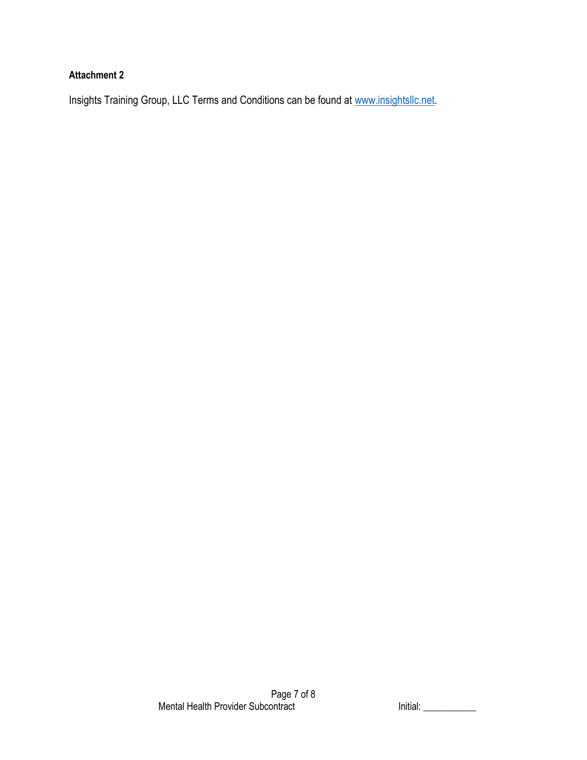# **Attachment 2**

Insights Training Group, LLC Terms and Conditions can be found at [www.insightsllc.net.](http://www.insightsllc.net/)